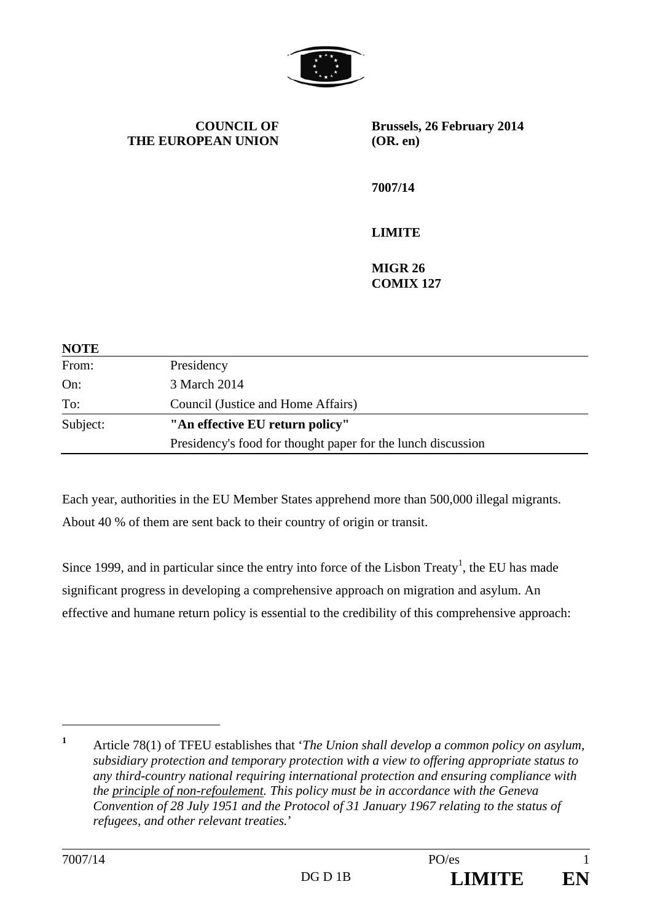

**COUNCIL OF THE EUROPEAN UNION** **Brussels, 26 February 2014 (OR. en)** 

**7007/14** 

**LIMITE** 

**MIGR 26 COMIX 127** 

| <b>NOTE</b> |                                                              |
|-------------|--------------------------------------------------------------|
| From:       | Presidency                                                   |
| On:         | 3 March 2014                                                 |
| To:         | Council (Justice and Home Affairs)                           |
| Subject:    | "An effective EU return policy"                              |
|             | Presidency's food for thought paper for the lunch discussion |

Each year, authorities in the EU Member States apprehend more than 500,000 illegal migrants. About 40 % of them are sent back to their country of origin or transit.

Since 1999, and in particular since the entry into force of the Lisbon Treaty<sup>1</sup>, the EU has made significant progress in developing a comprehensive approach on migration and asylum. An effective and humane return policy is essential to the credibility of this comprehensive approach:

 $\overline{a}$ 

**<sup>1</sup>** Article 78(1) of TFEU establishes that '*The Union shall develop a common policy on asylum, subsidiary protection and temporary protection with a view to offering appropriate status to any third-country national requiring international protection and ensuring compliance with the principle of non-refoulement. This policy must be in accordance with the Geneva Convention of 28 July 1951 and the Protocol of 31 January 1967 relating to the status of refugees, and other relevant treaties.*'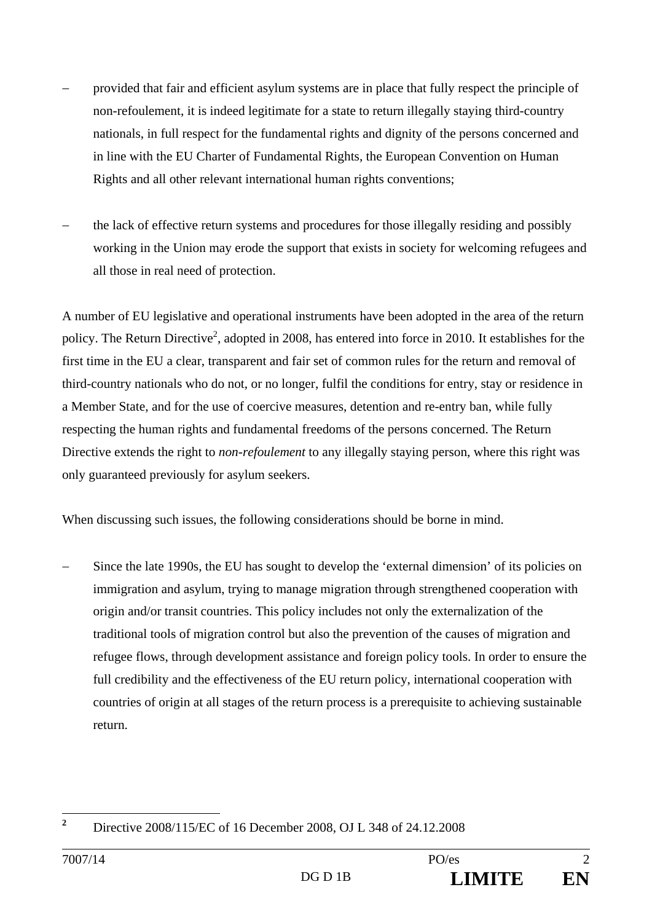- provided that fair and efficient asylum systems are in place that fully respect the principle of non-refoulement, it is indeed legitimate for a state to return illegally staying third-country nationals, in full respect for the fundamental rights and dignity of the persons concerned and in line with the EU Charter of Fundamental Rights, the European Convention on Human Rights and all other relevant international human rights conventions;
- the lack of effective return systems and procedures for those illegally residing and possibly working in the Union may erode the support that exists in society for welcoming refugees and all those in real need of protection.

A number of EU legislative and operational instruments have been adopted in the area of the return policy. The Return Directive<sup>2</sup>, adopted in 2008, has entered into force in 2010. It establishes for the first time in the EU a clear, transparent and fair set of common rules for the return and removal of third-country nationals who do not, or no longer, fulfil the conditions for entry, stay or residence in a Member State, and for the use of coercive measures, detention and re-entry ban, while fully respecting the human rights and fundamental freedoms of the persons concerned. The Return Directive extends the right to *non-refoulement* to any illegally staying person, where this right was only guaranteed previously for asylum seekers.

When discussing such issues, the following considerations should be borne in mind.

 Since the late 1990s, the EU has sought to develop the 'external dimension' of its policies on immigration and asylum, trying to manage migration through strengthened cooperation with origin and/or transit countries. This policy includes not only the externalization of the traditional tools of migration control but also the prevention of the causes of migration and refugee flows, through development assistance and foreign policy tools. In order to ensure the full credibility and the effectiveness of the EU return policy, international cooperation with countries of origin at all stages of the return process is a prerequisite to achieving sustainable return.

 **2** Directive 2008/115/EC of 16 December 2008, OJ L 348 of 24.12.2008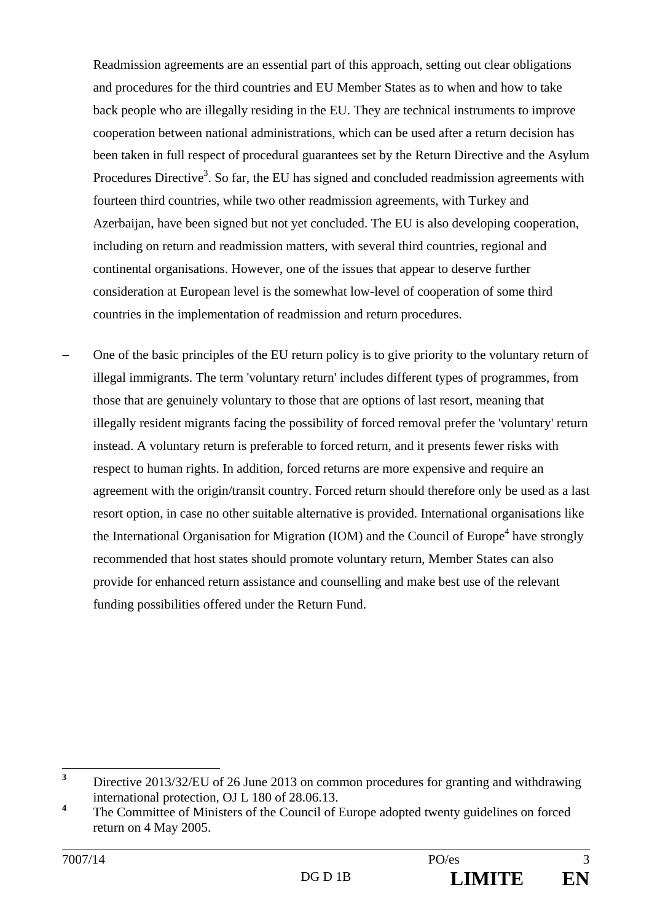Readmission agreements are an essential part of this approach, setting out clear obligations and procedures for the third countries and EU Member States as to when and how to take back people who are illegally residing in the EU. They are technical instruments to improve cooperation between national administrations, which can be used after a return decision has been taken in full respect of procedural guarantees set by the Return Directive and the Asylum Procedures Directive<sup>3</sup>. So far, the EU has signed and concluded readmission agreements with fourteen third countries, while two other readmission agreements, with Turkey and Azerbaijan, have been signed but not yet concluded. The EU is also developing cooperation, including on return and readmission matters, with several third countries, regional and continental organisations. However, one of the issues that appear to deserve further consideration at European level is the somewhat low-level of cooperation of some third countries in the implementation of readmission and return procedures.

 One of the basic principles of the EU return policy is to give priority to the voluntary return of illegal immigrants. The term 'voluntary return' includes different types of programmes, from those that are genuinely voluntary to those that are options of last resort, meaning that illegally resident migrants facing the possibility of forced removal prefer the 'voluntary' return instead. A voluntary return is preferable to forced return, and it presents fewer risks with respect to human rights. In addition, forced returns are more expensive and require an agreement with the origin/transit country. Forced return should therefore only be used as a last resort option, in case no other suitable alternative is provided. International organisations like the International Organisation for Migration (IOM) and the Council of Europe<sup>4</sup> have strongly recommended that host states should promote voluntary return, Member States can also provide for enhanced return assistance and counselling and make best use of the relevant funding possibilities offered under the Return Fund.

 **3** Directive 2013/32/EU of 26 June 2013 on common procedures for granting and withdrawing international protection, OJ L 180 of 28.06.13.

**<sup>4</sup>** The Committee of Ministers of the Council of Europe adopted twenty guidelines on forced return on 4 May 2005.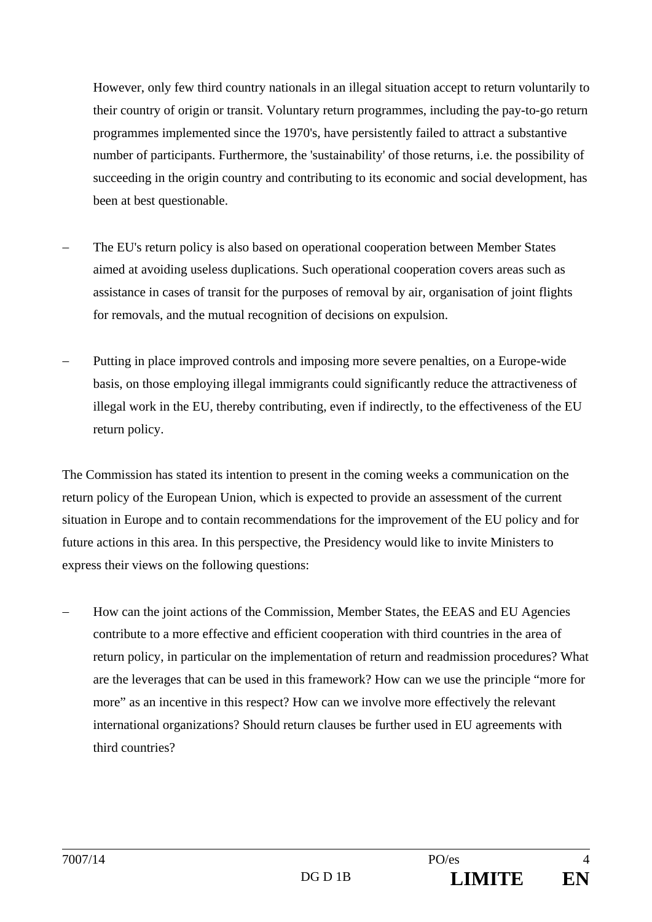However, only few third country nationals in an illegal situation accept to return voluntarily to their country of origin or transit. Voluntary return programmes, including the pay-to-go return programmes implemented since the 1970's, have persistently failed to attract a substantive number of participants. Furthermore, the 'sustainability' of those returns, i.e. the possibility of succeeding in the origin country and contributing to its economic and social development, has been at best questionable.

- The EU's return policy is also based on operational cooperation between Member States aimed at avoiding useless duplications. Such operational cooperation covers areas such as assistance in cases of transit for the purposes of removal by air, organisation of joint flights for removals, and the mutual recognition of decisions on expulsion.
- Putting in place improved controls and imposing more severe penalties, on a Europe-wide basis, on those employing illegal immigrants could significantly reduce the attractiveness of illegal work in the EU, thereby contributing, even if indirectly, to the effectiveness of the EU return policy.

The Commission has stated its intention to present in the coming weeks a communication on the return policy of the European Union, which is expected to provide an assessment of the current situation in Europe and to contain recommendations for the improvement of the EU policy and for future actions in this area. In this perspective, the Presidency would like to invite Ministers to express their views on the following questions:

 How can the joint actions of the Commission, Member States, the EEAS and EU Agencies contribute to a more effective and efficient cooperation with third countries in the area of return policy, in particular on the implementation of return and readmission procedures? What are the leverages that can be used in this framework? How can we use the principle "more for more" as an incentive in this respect? How can we involve more effectively the relevant international organizations? Should return clauses be further used in EU agreements with third countries?